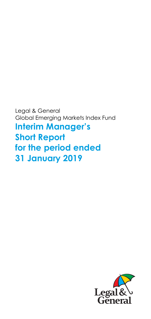Legal & General Global Emerging Markets Index Fund **Interim Manager's Short Report for the period ended 31 January 2019** 

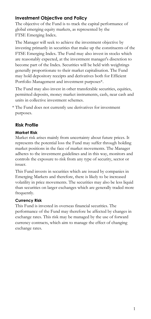## **Investment Objective and Policy**

The objective of the Fund is to track the capital performance of global emerging equity markets, as represented by the FTSE Emerging Index.

The Manager will seek to achieve the investment objective by investing primarily in securities that make up the constituents of the FTSE Emerging Index. The Fund may also invest in stocks which are reasonably expected, at the investment manager's discretion to become part of the Index. Securities will be held with weightings generally proportionate to their market capitalisation. The Fund may hold depository receipts and derivatives both for Efficient Portfolio Management and investment purposes\*.

The Fund may also invest in other transferable securities, equities, permitted deposits, money market instruments, cash, near cash and units in collective investment schemes.

\* The Fund does not currently use derivatives for investment purposes.

## **Risk Profile**

### **Market Risk**

Market risk arises mainly from uncertainty about future prices. It represents the potential loss the Fund may suffer through holding market positions in the face of market movements. The Manager adheres to the investment guidelines and in this way, monitors and controls the exposure to risk from any type of security, sector or issuer.

This Fund invests in securities which are issued by companies in Emerging Markets and therefore, there is likely to be increased volatility in price movements. The securities may also be less liquid than securities on larger exchanges which are generally traded more frequently.

### **Currency Risk**

This Fund is invested in overseas financial securities. The performance of the Fund may therefore be affected by changes in exchange rates. This risk may be managed by the use of forward currency contracts, which aim to manage the effect of changing exchange rates.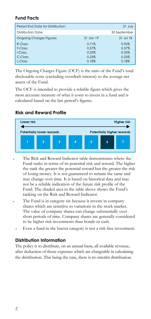## **Fund Facts**

| Period End Date for Distribution: |           | 31 July      |
|-----------------------------------|-----------|--------------|
| Distribution Date:                |           | 30 September |
| <b>Ongoing Charges Figures:</b>   | 31 Jan 19 | 31 Jul 18    |
| R-Class                           | 0.71%     | 0.92%        |
| F-Class                           | 0.57%     | 0.57%        |
| I-Class                           | 0.33%     | 0.33%        |
| C-Class                           | 0.23%     | 0.23%        |
| L-Class                           | 0.18%     | 0.18%        |

The Ongoing Charges Figure (OCF) is the ratio of the Fund's total disclosable costs (excluding overdraft interest) to the average net assets of the Fund.

The OCF is intended to provide a reliable figure which gives the most accurate measure of what it costs to invest in a fund and is calculated based on the last period's figures.

### **Risk and Reward Profile**



- The Risk and Reward Indicator table demonstrates where the Fund ranks in terms of its potential risk and reward. The higher the rank the greater the potential reward but the greater the risk of losing money. It is not guaranteed to remain the same and may change over time. It is based on historical data and may not be a reliable indication of the future risk profile of the Fund. The shaded area in the table above shows the Fund's ranking on the Risk and Reward Indicator.
- The Fund is in category six because it invests in company shares which are sensitive to variations in the stock market. The value of company shares can change substantially over short periods of time. Company shares are generally considered to be higher risk investments than bonds or cash.
	- Even a fund in the lowest category is not a risk free investment.

## **Distribution Information**

The policy is to distribute, on an annual basis, all available revenue, after deduction of those expenses which are chargeable in calculating the distribution. This being the case, there is no interim distribution.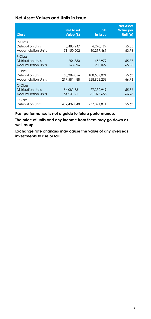### **Net Asset Values and Units in Issue**

| <b>Class</b>                                                      | <b>Net Asset</b><br>Value (£) | <b>Units</b><br>in Issue   | <b>Net Asset</b><br><b>Value per</b><br>Unit $(p)$ |
|-------------------------------------------------------------------|-------------------------------|----------------------------|----------------------------------------------------|
| R-Class<br>Distribution Units<br><b>Accumulation Units</b>        | 3,483,247<br>51.150.202       | 6,270,199<br>80.219.461    | 55.55<br>63.76                                     |
| F-Class<br><b>Distribution Units</b><br><b>Accumulation Units</b> | 254,880<br>163,396            | 456.979<br>250.027         | 55.77<br>65.35                                     |
| I-Class<br>Distribution Units<br><b>Accumulation Units</b>        | 60.384.056<br>219,581,488     | 108,537,021<br>328,923,258 | 55.63<br>66.76                                     |
| $C$ -Class<br>Distribution Units<br><b>Accumulation Units</b>     | 54.081.781<br>54.231.211      | 97,332,949<br>81.025.655   | 55.56<br>66.93                                     |
| L-Class<br>Distribution Units                                     | 432,437,048                   | 777.391.811                | 55.63                                              |

**Past performance is not a guide to future performance.** 

**The price of units and any income from them may go down as well as up.** 

**Exchange rate changes may cause the value of any overseas investments to rise or fall.**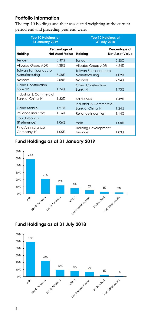## **Portfolio Information**

The top 10 holdings and their associated weighting at the current period end and preceding year end were:

| <b>Top 10 Holdings at</b><br><b>31 January 2019</b> |                                         | <b>Top 10 Holdings at</b><br>31 July 2018    |                                         |
|-----------------------------------------------------|-----------------------------------------|----------------------------------------------|-----------------------------------------|
| Holding                                             | Percentage of<br><b>Net Asset Value</b> | Holding                                      | Percentage of<br><b>Net Asset Value</b> |
| Tencent                                             | 5.49%                                   | Tencent                                      | 5.50%                                   |
| Alibaba Group ADR                                   | 4.38%                                   | Alibaba Group ADR                            | 4.24%                                   |
| Taiwan Semiconductor<br>Manufacturing               | 3.68%                                   | Taiwan Semiconductor<br>Manufacturing        | 4.09%                                   |
| Naspers                                             | 2.08%                                   | Naspers                                      | 2.24%                                   |
| China Construction<br>Bank 'H'                      | 1.74%                                   | China Construction<br>Bank 'H'               | 1.73%                                   |
| Industrial & Commercial<br>Bank of China 'H'        | 1.32%                                   | <b>Baidu ADR</b>                             | 1.49%                                   |
| China Mobile                                        | 1.21%                                   | Industrial & Commercial<br>Bank of China 'H' | 1.24%                                   |
| Reliance Industries                                 | 1.16%                                   | Reliance Industries                          | 1.14%                                   |
| Itau Unibanco<br>(Preference)                       | 1.06%                                   | Vale                                         | 1.08%                                   |
| Ping An Insurance<br>Company 'H'                    | 1.05%                                   | <b>Housing Development</b><br>Finance        | 1.03%                                   |

## **Fund Holdings as at 31 January 2019**



# **Fund Holdings as at 31 July 2018**

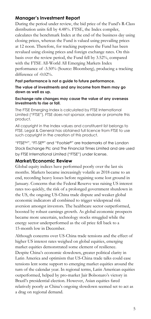### **Manager's Investment Report**

During the period under review, the bid price of the Fund's R-Class distribution units fell by 4.48%. FTSE, the Index compiler, calculates the benchmark Index at the end of the business day using closing prices, whereas the Fund is valued using prevailing prices at 12 noon. Therefore, for tracking purposes the Fund has been revalued using closing prices and foreign exchange rates. On this basis over the review period, the Fund fell by 3.52%, compared with the FTSE All-World All Emerging Markets Index performance of -3.50% (Source: Bloomberg), producing a tracking difference of -0.02%.

### **Past performance is not a guide to future performance.**

**The value of investments and any income from them may go down as well as up.**

#### **Exchange rate changes may cause the value of any overseas investments to rise or fall.**

The FTSE Emerging Index is calculated by FTSE International Limited ("FTSE"). FTSE does not sponsor, endorse or promote this product.

All copyright in the Index values and constituent list belongs to FTSE. Legal & General has obtained full licence from FTSE to use such copyright in the creation of this product.

"FTSETM", "FT-SE®" and "Footsie®" are trademarks of the London Stock Exchange Plc and The Financial Times Limited and are used by FTSE International Limited ("FTSE") under license.

### **Market/Economic Review**

Global equity indices have performed poorly over the last six months. Markets became increasingly volatile as 2018 came to an end, recording heavy losses before regaining some lost ground in January. Concerns that the Federal Reserve was raising US interest rates too quickly, the risk of a prolonged government shutdown in the US, the ongoing US-China trade dispute and weaker global economic indicators all combined to trigger widespread risk aversion amongst investors. The healthcare sector outperformed, boosted by robust earnings growth. As global economic prospects became more uncertain, technology stocks struggled while the energy sector underperformed as the oil price fell back to a 15-month low in December.

Although concerns over US-China trade tensions and the effect of higher US interest rates weighed on global equities, emerging market equities demonstrated some element of resilience. Despite China's economic slowdown, greater political clarity in Latin America and optimism that US-China trade talks could ease tensions lent some support to emerging market equities around the turn of the calendar year. In regional terms, Latin American equities outperformed, helped by pro-market Jair Bolsonaro's victory in Brazil's presidential election. However, Asian equities fared relatively poorly as China's ongoing slowdown seemed set to act as a drag on regional demand.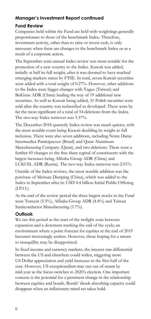## **Manager's Investment Report continued**

## **Fund Review**

Companies held within the Fund are held with weightings generally proportionate to those of the benchmark Index. Therefore, investment activity, other than to raise or invest cash, is only necessary when there are changes to the benchmark Index or as a result of a corporate action.

The September semi-annual Index review was most notable for the promotion of a new country to the Index. Kuwait was added, initially at half its full weight, after it was deemed to have reached emerging markets status by FTSE. In total, seven Kuwait securities were added with a total weight of 0.27%. However, other additions to the Index were bigger changes with Yageo (Taiwan) and BeiGene ADR (China) leading the way of 19 additional new securities. As well as Kuwait being added, 31 Polish securities were sold after the country was reclassified as developed. These were by far the most significant of a total of 54 deletions from the Index. The two-way Index turnover was 3.37%.

The December 2018 quarterly Index review was much quieter, with the most notable event being Kuwait doubling its weight to full inclusion. There were also seven additions, including Notre Dame Intermedica Participacoes (Brazil) and Qatar Aluminum Manufacturing Company (Qatar), and two deletions. There were a further 69 changes to the free share capital of constituents with the largest increases being Alibaba Group ADR (China) and LUKOIL ADR (Russia). The two-way Index turnover was 2.01%.

Outside of the Index reviews, the most notable addition was the purchase of Meituan Dianping (China), which was added to the Index in September after its USD 4.4 billion Initial Public Offering (I.P.O.).

At the end of the review period the three largest stocks in the Fund were Tencent (5.5%), Alibaba Group ADR (4.4%) and Taiwan Semiconductor Manufacturing (3.7%).

## **Outlook**

We see this period as the start of the twilight zone between expansion and a downturn marking the end of the cycle; an environment where a point forecast for equities at the end of 2019 becomes increasingly useless. However, those hoping for a return to tranquillity may be disappointed.

In fixed income and currency markets, the interest rate differential between the US and elsewhere could widen, triggering more US Dollar appreciation and yield increases in the first half of the year. However, US exceptionalism may run out of steam by mid-year as the focus switches to 2020's election. One important concern is the potential for a persistent change in the relationship between equities and bonds. Bonds' shock-absorbing capacity could disappear when an inflationary mind-set takes hold.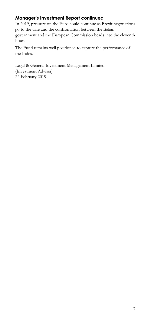# **Manager's Investment Report continued**

In 2019, pressure on the Euro could continue as Brexit negotiations go to the wire and the confrontation between the Italian government and the European Commission heads into the eleventh hour.

The Fund remains well positioned to capture the performance of the Index.

Legal & General Investment Management Limited (Investment Adviser) 22 February 2019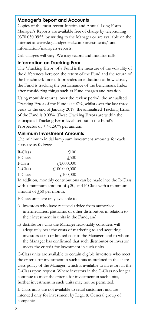## **Manager's Report and Accounts**

Copies of the most recent Interim and Annual Long Form Manager's Reports are available free of charge by telephoning 0370 050 0955, by writing to the Manager or are available on the internet at www.legalandgeneral.com/investments/fundinformation/managers-reports.

Call charges will vary. We may record and monitor calls.

### **Information on Tracking Error**

The 'Tracking Error' of a Fund is the measure of the volatility of the differences between the return of the Fund and the return of the benchmark Index. It provides an indication of how closely the Fund is tracking the performance of the benchmark Index after considering things such as Fund charges and taxation.

Using monthly returns, over the review period, the annualised Tracking Error of the Fund is 0.07%, whilst over the last three years to the end of January 2019, the annualised Tracking Error of the Fund is 0.09%. These Tracking Errors are within the anticipated Tracking Error levels set out in the Fund's Prospectus of  $+/-1.50\%$  per annum.

### **Minimum Investment Amounts**

The minimum initial lump sum investment amounts for each class are as follows:

| R-Class | $\sqrt{100}$     |
|---------|------------------|
| F-Class | $\sqrt{.500}$    |
| I-Class | f1,000,000       |
| C-Class | f100,000,000     |
| L-Class | $\angle 100,000$ |

In addition, monthly contributions can be made into the R-Class with a minimum amount of  $f(20)$ , and F-Class with a minimum amount of  $\sqrt{250}$  per month.

F-Class units are only available to:

- i) investors who have received advice from authorised intermediaries, platforms or other distributors in relation to their investment in units in the Fund; and
- ii) distributors who the Manager reasonably considers will adequately bear the costs of marketing to and acquiring investors at no or limited cost to the Manager, and to whom the Manager has confirmed that such distributor or investor meets the criteria for investment in such units.

C-Class units are available to certain eligible investors who meet the criteria for investment in such units as outlined in the share class policy of the Manager, which is available to investors in the C-Class upon request. Where investors in the C-Class no longer continue to meet the criteria for investment in such units, further investment in such units may not be permitted.

L-Class units are not available to retail customers and are intended only for investment by Legal & General group of companies.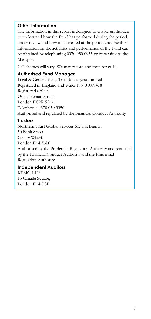### **Other Information**

The information in this report is designed to enable unitholders to understand how the Fund has performed during the period under review and how it is invested at the period end. Further information on the activities and performance of the Fund can be obtained by telephoning 0370 050 0955 or by writing to the Manager.

Call charges will vary. We may record and monitor calls.

### **Authorised Fund Manager**

Legal & General (Unit Trust Managers) Limited Registered in England and Wales No. 01009418 Registered office: One Coleman Street, London EC2R 5AA Telephone: 0370 050 3350 Authorised and regulated by the Financial Conduct Authority

### **Trustee**

Northern Trust Global Services SE UK Branch 50 Bank Street, Canary Wharf, London E14 5NT Authorised by the Prudential Regulation Authority and regulated by the Financial Conduct Authority and the Prudential Regulation Authority

## **Independent Auditors**

KPMG LLP 15 Canada Square, London E14 5GL